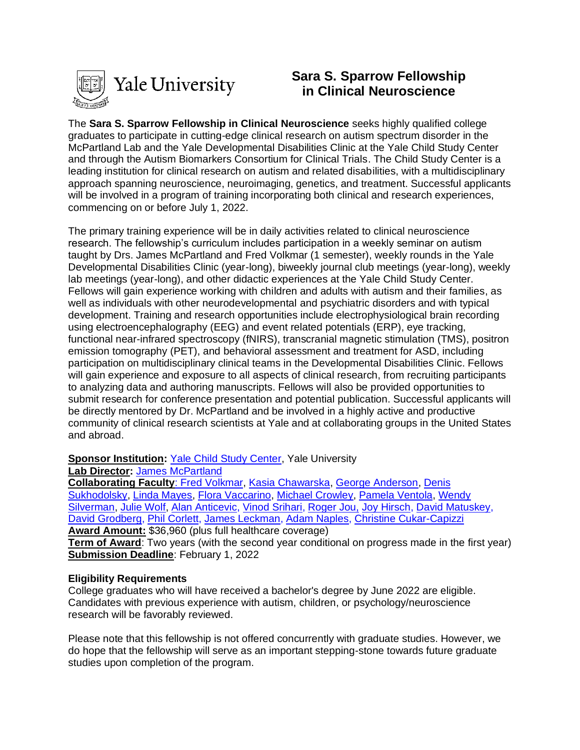

# **Sara S. Sparrow Fellowship in Clinical Neuroscience**

The **Sara S. Sparrow Fellowship in Clinical Neuroscience** seeks highly qualified college graduates to participate in cutting-edge clinical research on autism spectrum disorder in the McPartland Lab and the Yale Developmental Disabilities Clinic at the Yale Child Study Center and through the Autism Biomarkers Consortium for Clinical Trials. The Child Study Center is a leading institution for clinical research on autism and related disabilities, with a multidisciplinary approach spanning neuroscience, neuroimaging, genetics, and treatment. Successful applicants will be involved in a program of training incorporating both clinical and research experiences, commencing on or before July 1, 2022.

The primary training experience will be in daily activities related to clinical neuroscience research. The fellowship's curriculum includes participation in a weekly seminar on autism taught by Drs. James McPartland and Fred Volkmar (1 semester), weekly rounds in the Yale Developmental Disabilities Clinic (year-long), biweekly journal club meetings (year-long), weekly lab meetings (year-long), and other didactic experiences at the Yale Child Study Center. Fellows will gain experience working with children and adults with autism and their families, as well as individuals with other neurodevelopmental and psychiatric disorders and with typical development. Training and research opportunities include electrophysiological brain recording using electroencephalography (EEG) and event related potentials (ERP), eye tracking, functional near-infrared spectroscopy (fNIRS), transcranial magnetic stimulation (TMS), positron emission tomography (PET), and behavioral assessment and treatment for ASD, including participation on multidisciplinary clinical teams in the Developmental Disabilities Clinic. Fellows will gain experience and exposure to all aspects of clinical research, from recruiting participants to analyzing data and authoring manuscripts. Fellows will also be provided opportunities to submit research for conference presentation and potential publication. Successful applicants will be directly mentored by Dr. McPartland and be involved in a highly active and productive community of clinical research scientists at Yale and at collaborating groups in the United States and abroad.

**Sponsor Institution: [Yale Child Study Center,](http://childstudycenter.yale.edu/) Yale University** 

**Lab Director:** [James McPartland](https://medicine.yale.edu/childstudy/faculty/james_mcpartland.profile)

**Collaborating Faculty**[: Fred Volkmar,](https://medicine.yale.edu/profile/fred_volkmar/) [Kasia Chawarska,](https://medicine.yale.edu/childstudy/faculty/katarzyna_chawarska.profile) [George Anderson,](https://medicine.yale.edu/childstudy/faculty/george_anderson.profile) [Denis](https://medicine.yale.edu/childstudy/faculty/denis_sukhodolsky.profile)  [Sukhodolsky,](https://medicine.yale.edu/childstudy/faculty/denis_sukhodolsky.profile) [Linda Mayes,](https://medicine.yale.edu/childstudy/faculty/linda_mayes.profile) [Flora Vaccarino,](https://medicine.yale.edu/childstudy/faculty/flora_vaccarino.profile) [Michael Crowley,](https://medicine.yale.edu/childstudy/faculty/michael_crowley.profile) [Pamela Ventola,](https://medicine.yale.edu/childstudy/faculty/pamela_ventola.profile) [Wendy](https://medicine.yale.edu/childstudy/faculty/wendy_silverman.profile)  [Silverman,](https://medicine.yale.edu/childstudy/faculty/wendy_silverman.profile) [Julie Wolf,](https://medicine.yale.edu/childstudy/faculty/julie_wolf.profile) [Alan Anticevic,](http://anticeviclab.yale.edu/people/alan_anticevic.profile?source=news) [Vinod Srihari,](https://medicine.yale.edu/psychiatry/people/vinod_srihari.profile) [Roger Jou,](https://medicine.yale.edu/childstudy/faculty/roger_jou.profile) [Joy Hirsch,](https://medicine.yale.edu/neuroscience/people/joy_hirsch.profile) [David Matuskey,](https://medicine.yale.edu/psychiatry/people/david_matuskey-1.profile) [David Grodberg,](http://people.yale.edu/search/david_grodberg.profile) [Phil Corlett,](http://psychiatry.yale.edu/people/philip_corlett.profile) [James Leckman,](https://medicine.yale.edu/childstudy/faculty/james_leckman.profile) [Adam Naples,](https://medicine.yale.edu/profile/adam_naples/) [Christine Cukar-Capizzi](https://medicine.yale.edu/profile/christine_cukar-capizzi/) **Award Amount:** \$36,960 (plus full healthcare coverage)

**Term of Award**: Two years (with the second year conditional on progress made in the first year) **Submission Deadline**: February 1, 2022

### **Eligibility Requirements**

College graduates who will have received a bachelor's degree by June 2022 are eligible. Candidates with previous experience with autism, children, or psychology/neuroscience research will be favorably reviewed.

Please note that this fellowship is not offered concurrently with graduate studies. However, we do hope that the fellowship will serve as an important stepping-stone towards future graduate studies upon completion of the program.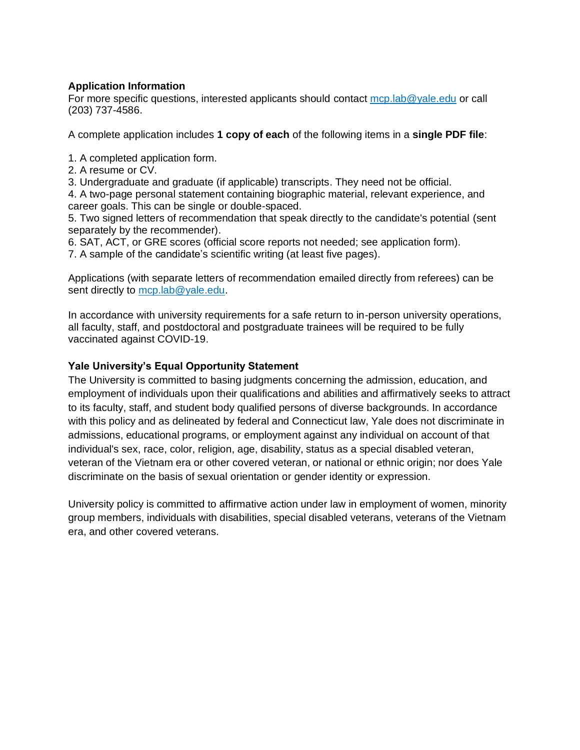### **Application Information**

For more specific questions, interested applicants should contact [mcp.lab@yale.edu](mailto:mcp.lab@yale.edu) or call (203) 737-4586.

A complete application includes **1 copy of each** of the following items in a **single PDF file**:

1. A completed application form.

2. A resume or CV.

3. Undergraduate and graduate (if applicable) transcripts. They need not be official.

4. A two-page personal statement containing biographic material, relevant experience, and career goals. This can be single or double-spaced.

5. Two signed letters of recommendation that speak directly to the candidate's potential (sent separately by the recommender).

6. SAT, ACT, or GRE scores (official score reports not needed; see application form).

7. A sample of the candidate's scientific writing (at least five pages).

Applications (with separate letters of recommendation emailed directly from referees) can be sent directly to [mcp.lab@yale.edu.](mailto:mcp.lab@yale.edu)

In accordance with university requirements for a safe return to in-person university operations, all faculty, staff, and postdoctoral and postgraduate trainees will be required to be fully vaccinated against COVID-19.

### **Yale University's Equal Opportunity Statement**

The University is committed to basing judgments concerning the admission, education, and employment of individuals upon their qualifications and abilities and affirmatively seeks to attract to its faculty, staff, and student body qualified persons of diverse backgrounds. In accordance with this policy and as delineated by federal and Connecticut law, Yale does not discriminate in admissions, educational programs, or employment against any individual on account of that individual's sex, race, color, religion, age, disability, status as a special disabled veteran, veteran of the Vietnam era or other covered veteran, or national or ethnic origin; nor does Yale discriminate on the basis of sexual orientation or gender identity or expression.

University policy is committed to affirmative action under law in employment of women, minority group members, individuals with disabilities, special disabled veterans, veterans of the Vietnam era, and other covered veterans.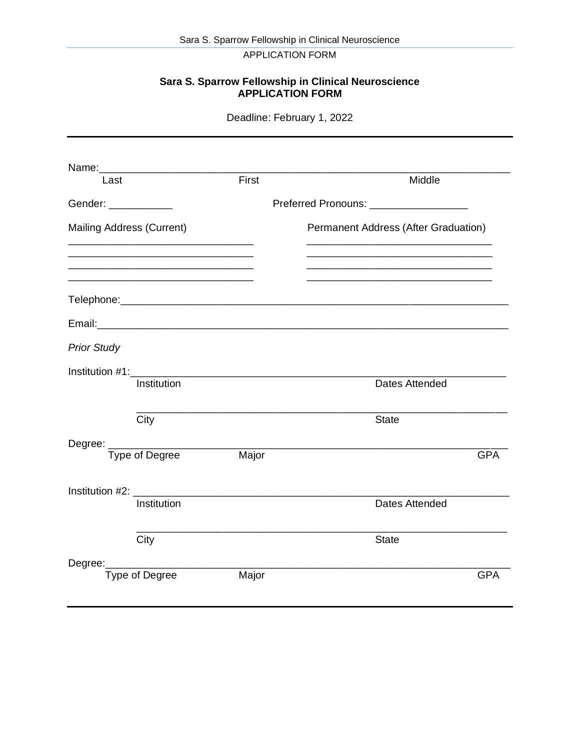APPLICATION FORM

#### **Sara S. Sparrow Fellowship in Clinical Neuroscience APPLICATION FORM**

Deadline: February 1, 2022

| Last                             |                                                             | First                                                                                                                | Middle                               |  |  |
|----------------------------------|-------------------------------------------------------------|----------------------------------------------------------------------------------------------------------------------|--------------------------------------|--|--|
| Gender: ___________              |                                                             | Preferred Pronouns: _________________                                                                                |                                      |  |  |
| <b>Mailing Address (Current)</b> |                                                             |                                                                                                                      | Permanent Address (After Graduation) |  |  |
|                                  | <u> 1989 - Johann Stoff, Amerikaansk politiker (* 1908)</u> |                                                                                                                      |                                      |  |  |
|                                  |                                                             |                                                                                                                      |                                      |  |  |
|                                  |                                                             |                                                                                                                      |                                      |  |  |
| <b>Prior Study</b>               |                                                             |                                                                                                                      |                                      |  |  |
|                                  |                                                             |                                                                                                                      |                                      |  |  |
|                                  | Institution                                                 |                                                                                                                      | <b>Dates Attended</b>                |  |  |
|                                  | City                                                        |                                                                                                                      | <b>State</b>                         |  |  |
|                                  |                                                             |                                                                                                                      |                                      |  |  |
|                                  |                                                             | Major                                                                                                                | <b>GPA</b>                           |  |  |
|                                  | Institution #2: ___________                                 | <u> 1989 - Johann John Stone, markin film yn y brening yn y brening yn y brening y brening yn y brening y brenin</u> |                                      |  |  |
|                                  | Institution                                                 |                                                                                                                      | <b>Dates Attended</b>                |  |  |
|                                  | City                                                        | <u> 1980 - Johann John Stone, markin fizikar markin (</u>                                                            | <b>State</b>                         |  |  |
|                                  | Degree: ________________________                            |                                                                                                                      |                                      |  |  |
|                                  | Type of Degree                                              | Major                                                                                                                | <b>GPA</b>                           |  |  |